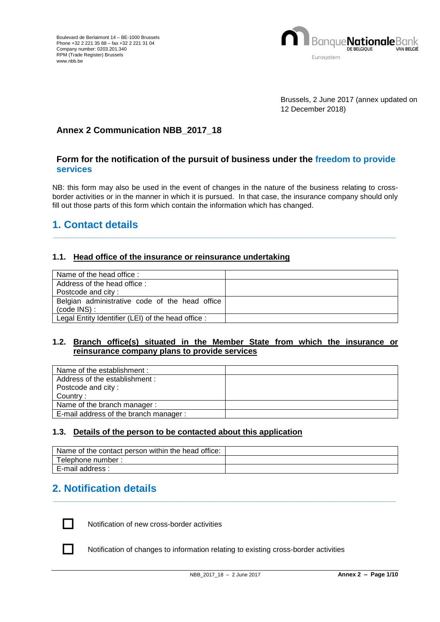

Brussels, 2 June 2017 (annex updated on 12 December 2018)

## **Annex 2 Communication NBB\_2017\_18**

## **Form for the notification of the pursuit of business under the freedom to provide services**

NB: this form may also be used in the event of changes in the nature of the business relating to crossborder activities or in the manner in which it is pursued. In that case, the insurance company should only fill out those parts of this form which contain the information which has changed.

**\_\_\_\_\_\_\_\_\_\_\_\_\_\_\_\_\_\_\_\_\_\_\_\_\_\_\_\_\_\_\_\_\_\_\_\_\_\_\_\_\_\_\_\_\_\_\_\_\_\_\_\_\_\_\_\_\_\_\_\_\_\_\_\_\_\_\_\_\_\_\_\_\_\_\_\_\_\_\_\_\_\_\_\_**

# **1. Contact details**

## **1.1. Head office of the insurance or reinsurance undertaking**

| Name of the head office:                           |  |
|----------------------------------------------------|--|
| Address of the head office:                        |  |
| Postcode and city:                                 |  |
| Belgian administrative code of the head office     |  |
| $(code$ INS $)$ :                                  |  |
| Legal Entity Identifier (LEI) of the head office : |  |

## **1.2. Branch office(s) situated in the Member State from which the insurance or reinsurance company plans to provide services**

| Name of the establishment:            |  |
|---------------------------------------|--|
| Address of the establishment:         |  |
| Postcode and city:                    |  |
| Country:                              |  |
| Name of the branch manager:           |  |
| E-mail address of the branch manager: |  |

## **1.3. Details of the person to be contacted about this application**

| Name of the contact person within the head office: |  |
|----------------------------------------------------|--|
| Telephone number:                                  |  |
| E-mail address :                                   |  |

**\_\_\_\_\_\_\_\_\_\_\_\_\_\_\_\_\_\_\_\_\_\_\_\_\_\_\_\_\_\_\_\_\_\_\_\_\_\_\_\_\_\_\_\_\_\_\_\_\_\_\_\_\_\_\_\_\_\_\_\_\_\_\_\_\_\_\_\_\_\_\_\_\_\_\_\_\_\_\_\_\_\_\_\_**

## **2. Notification details**



Notification of new cross-border activities

Notification of changes to information relating to existing cross-border activities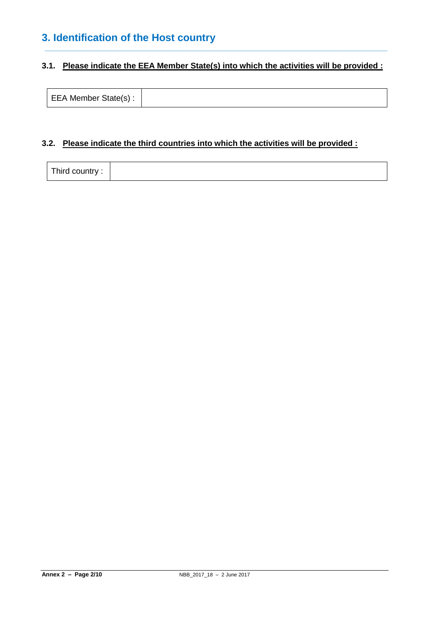# **3. Identification of the Host country**

## **3.1. Please indicate the EEA Member State(s) into which the activities will be provided :**

**\_\_\_\_\_\_\_\_\_\_\_\_\_\_\_\_\_\_\_\_\_\_\_\_\_\_\_\_\_\_\_\_\_\_\_\_\_\_\_\_\_\_\_\_\_\_\_\_\_\_\_\_\_\_\_\_\_\_\_\_\_\_\_\_\_\_\_\_\_\_\_\_\_\_\_\_\_\_\_\_\_\_\_\_**

| EEA Member State(s): |  |
|----------------------|--|
|----------------------|--|

## **3.2. Please indicate the third countries into which the activities will be provided :**

| Third country: |  |
|----------------|--|
|----------------|--|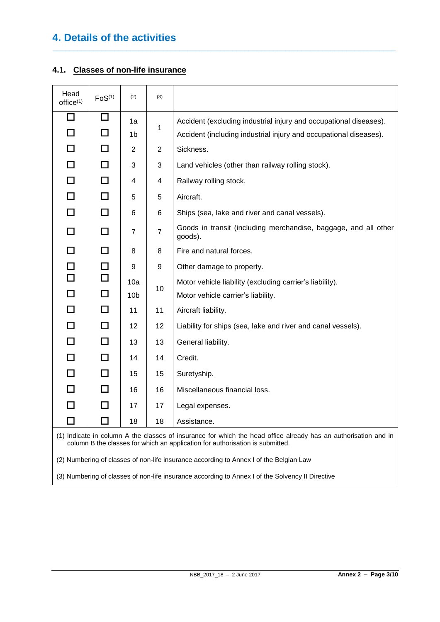# **4. Details of the activities**

## **4.1. Classes of non-life insurance**

| Head<br>Office <sup>(1)</sup> | F <sub>0</sub> S <sup>(1)</sup>                                                                                                                                                                  | (2)             | (3)            |                                                                                        |
|-------------------------------|--------------------------------------------------------------------------------------------------------------------------------------------------------------------------------------------------|-----------------|----------------|----------------------------------------------------------------------------------------|
| $\Box$                        | $\Box$                                                                                                                                                                                           | 1a              |                | Accident (excluding industrial injury and occupational diseases).                      |
| П                             | $\Box$                                                                                                                                                                                           | 1b              | 1              | Accident (including industrial injury and occupational diseases).                      |
|                               | П                                                                                                                                                                                                | 2               | $\overline{2}$ | Sickness.                                                                              |
| П                             | П                                                                                                                                                                                                | 3               | 3              | Land vehicles (other than railway rolling stock).                                      |
| П                             | П                                                                                                                                                                                                | 4               | 4              | Railway rolling stock.                                                                 |
| $\Box$                        | $\Box$                                                                                                                                                                                           | 5               | 5              | Aircraft.                                                                              |
| $\Box$                        | $\Box$                                                                                                                                                                                           | 6               | 6              | Ships (sea, lake and river and canal vessels).                                         |
| П                             | П                                                                                                                                                                                                | 7               | $\overline{7}$ | Goods in transit (including merchandise, baggage, and all other<br>goods).             |
| П                             | $\Box$                                                                                                                                                                                           | 8               | 8              | Fire and natural forces.                                                               |
| $\Box$                        | $\Box$                                                                                                                                                                                           | 9               | 9              | Other damage to property.                                                              |
| $\Box$                        | $\Box$                                                                                                                                                                                           | 10a             | 10             | Motor vehicle liability (excluding carrier's liability).                               |
| П                             | $\Box$                                                                                                                                                                                           | 10 <sub>b</sub> |                | Motor vehicle carrier's liability.                                                     |
| П                             | $\Box$                                                                                                                                                                                           | 11              | 11             | Aircraft liability.                                                                    |
| П                             | $\Box$                                                                                                                                                                                           | 12              | 12             | Liability for ships (sea, lake and river and canal vessels).                           |
| П                             | П                                                                                                                                                                                                | 13              | 13             | General liability.                                                                     |
| П                             | $\Box$                                                                                                                                                                                           | 14              | 14             | Credit.                                                                                |
| П                             | П                                                                                                                                                                                                | 15              | 15             | Suretyship.                                                                            |
| П                             | □                                                                                                                                                                                                | 16              | 16             | Miscellaneous financial loss.                                                          |
| П                             | $\Box$                                                                                                                                                                                           | 17              | 17             | Legal expenses.                                                                        |
|                               | □                                                                                                                                                                                                | 18              | 18             | Assistance.                                                                            |
|                               | (1) Indicate in column A the classes of insurance for which the head office already has an authorisation and in<br>column B the classes for which an application for authorisation is submitted. |                 |                |                                                                                        |
|                               |                                                                                                                                                                                                  |                 |                | (2) Numbering of classes of non-life insurance according to Annex I of the Belgian Law |

**\_\_\_\_\_\_\_\_\_\_\_\_\_\_\_\_\_\_\_\_\_\_\_\_\_\_\_\_\_\_\_\_\_\_\_\_\_\_\_\_\_\_\_\_\_\_\_\_\_\_\_\_\_\_\_\_\_\_\_\_\_\_\_\_\_\_\_\_\_\_\_\_\_\_\_\_\_\_\_\_\_\_\_\_**

(3) Numbering of classes of non-life insurance according to Annex I of the Solvency II Directive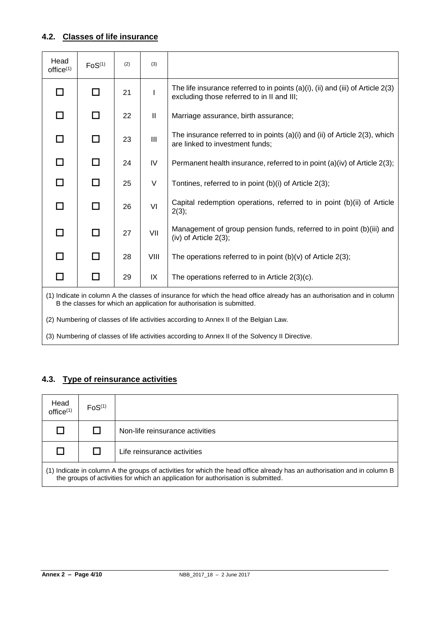## **4.2. Classes of life insurance**

| Head<br>office <sup>(1)</sup>                                                                                                                                                                    | FoS <sup>(1)</sup> | (2) | (3)           |                                                                                                                                      |
|--------------------------------------------------------------------------------------------------------------------------------------------------------------------------------------------------|--------------------|-----|---------------|--------------------------------------------------------------------------------------------------------------------------------------|
| П                                                                                                                                                                                                | п                  | 21  | I             | The life insurance referred to in points $(a)(i)$ , $(ii)$ and $(iii)$ of Article 2(3)<br>excluding those referred to in II and III; |
| П                                                                                                                                                                                                | П                  | 22  | $\mathbf{II}$ | Marriage assurance, birth assurance;                                                                                                 |
| П                                                                                                                                                                                                | п                  | 23  | III           | The insurance referred to in points (a)(i) and (ii) of Article 2(3), which<br>are linked to investment funds;                        |
| П                                                                                                                                                                                                | П                  | 24  | IV            | Permanent health insurance, referred to in point (a)(iv) of Article 2(3);                                                            |
| П                                                                                                                                                                                                | П                  | 25  | V             | Tontines, referred to in point (b)(i) of Article 2(3);                                                                               |
| П                                                                                                                                                                                                | п                  | 26  | VI            | Capital redemption operations, referred to in point (b)(ii) of Article<br>2(3);                                                      |
| П                                                                                                                                                                                                | П                  | 27  | VII           | Management of group pension funds, referred to in point (b)(iii) and<br>(iv) of Article $2(3)$ ;                                     |
| П                                                                                                                                                                                                | □                  | 28  | VIII          | The operations referred to in point $(b)(v)$ of Article 2(3);                                                                        |
| П                                                                                                                                                                                                | П                  | 29  | IX            | The operations referred to in Article $2(3)(c)$ .                                                                                    |
| (1) Indicate in column A the classes of insurance for which the head office already has an authorisation and in column<br>B the classes for which an application for authorisation is submitted. |                    |     |               |                                                                                                                                      |
| (2) Numbering of classes of life activities according to Annex II of the Belgian Law.                                                                                                            |                    |     |               |                                                                                                                                      |

(3) Numbering of classes of life activities according to Annex II of the Solvency II Directive.

## **4.3. Type of reinsurance activities**

| Head<br>office <sup>(1)</sup>                                                                                                                                                                                 | F <sub>0</sub> S <sup>(1)</sup> |                                 |  |
|---------------------------------------------------------------------------------------------------------------------------------------------------------------------------------------------------------------|---------------------------------|---------------------------------|--|
|                                                                                                                                                                                                               |                                 | Non-life reinsurance activities |  |
|                                                                                                                                                                                                               |                                 | Life reinsurance activities     |  |
| (1) Indicate in column A the groups of activities for which the head office already has an authorisation and in column B<br>the groups of activities for which an application for authorisation is submitted. |                                 |                                 |  |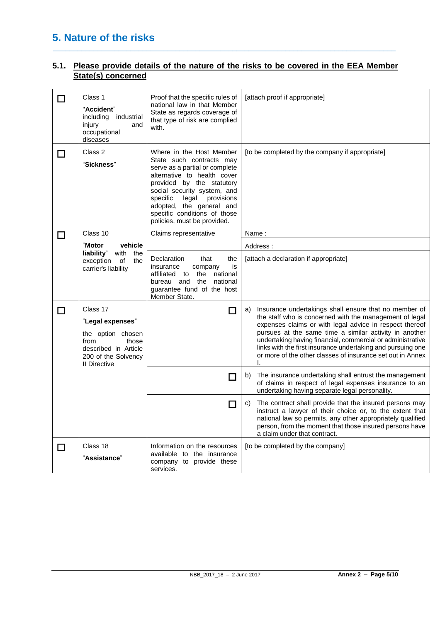# **5. Nature of the risks**

## **5.1. Please provide details of the nature of the risks to be covered in the EEA Member State(s) concerned**

**\_\_\_\_\_\_\_\_\_\_\_\_\_\_\_\_\_\_\_\_\_\_\_\_\_\_\_\_\_\_\_\_\_\_\_\_\_\_\_\_\_\_\_\_\_\_\_\_\_\_\_\_\_\_\_\_\_\_\_\_\_\_\_\_\_\_\_\_\_\_\_\_\_\_\_\_\_\_\_\_\_\_\_\_**

| П      | Class 1<br>"Accident"<br>including<br>industrial<br>injury<br>and<br>occupational<br>diseases                                            | Proof that the specific rules of<br>national law in that Member<br>State as regards coverage of<br>that type of risk are complied<br>with.                                                                                                                                                                      | [attach proof if appropriate]                                                                                                                                                                                                                                                                                                                                                                                                                |  |
|--------|------------------------------------------------------------------------------------------------------------------------------------------|-----------------------------------------------------------------------------------------------------------------------------------------------------------------------------------------------------------------------------------------------------------------------------------------------------------------|----------------------------------------------------------------------------------------------------------------------------------------------------------------------------------------------------------------------------------------------------------------------------------------------------------------------------------------------------------------------------------------------------------------------------------------------|--|
| I I    | Class 2<br>"Sickness"                                                                                                                    | Where in the Host Member<br>State such contracts may<br>serve as a partial or complete<br>alternative to health cover<br>provided by the statutory<br>social security system, and<br>specific<br>provisions<br>legal<br>adopted, the general and<br>specific conditions of those<br>policies, must be provided. | [to be completed by the company if appropriate]                                                                                                                                                                                                                                                                                                                                                                                              |  |
| П      | Class 10                                                                                                                                 | Claims representative                                                                                                                                                                                                                                                                                           | Name:                                                                                                                                                                                                                                                                                                                                                                                                                                        |  |
|        | "Motor<br>vehicle                                                                                                                        |                                                                                                                                                                                                                                                                                                                 | Address:                                                                                                                                                                                                                                                                                                                                                                                                                                     |  |
|        | liability"<br>with<br>the<br>exception<br>of<br>the<br>carrier's liability                                                               | Declaration<br>the<br>that<br>insurance<br>company<br>is<br>the<br>national<br>affiliated to<br>bureau and the<br>national<br>guarantee fund of the host<br>Member State.                                                                                                                                       | [attach a declaration if appropriate]                                                                                                                                                                                                                                                                                                                                                                                                        |  |
| □      | Class 17<br>"Legal expenses"<br>the option chosen<br>from<br>those<br>described in Article<br>200 of the Solvency<br><b>II Directive</b> |                                                                                                                                                                                                                                                                                                                 | Insurance undertakings shall ensure that no member of<br>a)<br>the staff who is concerned with the management of legal<br>expenses claims or with legal advice in respect thereof<br>pursues at the same time a similar activity in another<br>undertaking having financial, commercial or administrative<br>links with the first insurance undertaking and pursuing one<br>or more of the other classes of insurance set out in Annex<br>I. |  |
|        |                                                                                                                                          | $\Box$                                                                                                                                                                                                                                                                                                          | The insurance undertaking shall entrust the management<br>b)<br>of claims in respect of legal expenses insurance to an<br>undertaking having separate legal personality.                                                                                                                                                                                                                                                                     |  |
|        |                                                                                                                                          | $\Box$                                                                                                                                                                                                                                                                                                          | The contract shall provide that the insured persons may<br>C)<br>instruct a lawyer of their choice or, to the extent that<br>national law so permits, any other appropriately qualified<br>person, from the moment that those insured persons have<br>a claim under that contract.                                                                                                                                                           |  |
| $\Box$ | Class 18<br>"Assistance"                                                                                                                 | Information on the resources<br>available to the insurance<br>company to provide these<br>services.                                                                                                                                                                                                             | [to be completed by the company]                                                                                                                                                                                                                                                                                                                                                                                                             |  |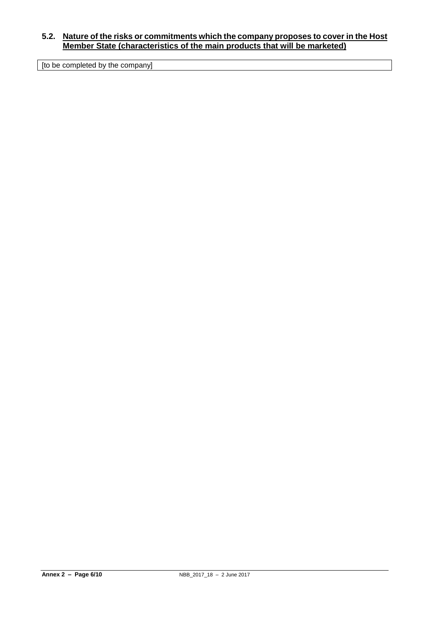## **5.2. Nature of the risks or commitments which the company proposes to cover in the Host Member State (characteristics of the main products that will be marketed)**

[to be completed by the company]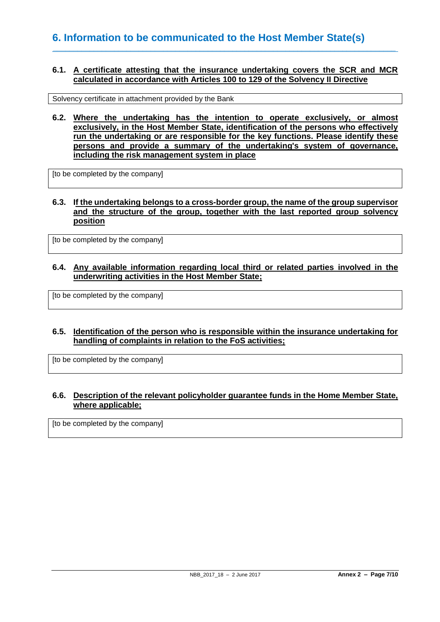#### **6.1. A certificate attesting that the insurance undertaking covers the SCR and MCR calculated in accordance with Articles 100 to 129 of the Solvency II Directive**

**\_\_\_\_\_\_\_\_\_\_\_\_\_\_\_\_\_\_\_\_\_\_\_\_\_\_\_\_\_\_\_\_\_\_\_\_\_\_\_\_\_\_\_\_\_\_\_\_\_\_\_\_\_\_\_\_\_\_\_\_\_\_\_\_\_\_\_\_\_\_\_\_\_\_\_\_\_\_\_\_\_\_\_\_**

Solvency certificate in attachment provided by the Bank

**6.2. Where the undertaking has the intention to operate exclusively, or almost exclusively, in the Host Member State, identification of the persons who effectively run the undertaking or are responsible for the key functions. Please identify these persons and provide a summary of the undertaking's system of governance, including the risk management system in place**

[to be completed by the company]

## **6.3. If the undertaking belongs to a cross-border group, the name of the group supervisor and the structure of the group, together with the last reported group solvency position**

[to be completed by the company]

## **6.4. Any available information regarding local third or related parties involved in the underwriting activities in the Host Member State;**

[to be completed by the company]

## **6.5. Identification of the person who is responsible within the insurance undertaking for handling of complaints in relation to the FoS activities;**

[to be completed by the company]

## **6.6. Description of the relevant policyholder guarantee funds in the Home Member State, where applicable;**

[to be completed by the company]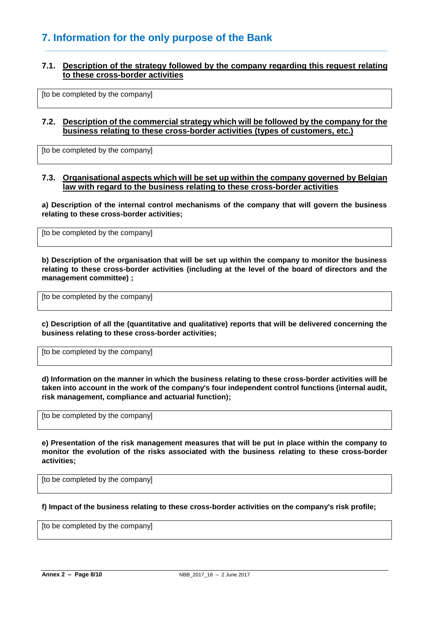# **7. Information for the only purpose of the Bank**

## **7.1. Description of the strategy followed by the company regarding this request relating to these cross-border activities**

**\_\_\_\_\_\_\_\_\_\_\_\_\_\_\_\_\_\_\_\_\_\_\_\_\_\_\_\_\_\_\_\_\_\_\_\_\_\_\_\_\_\_\_\_\_\_\_\_\_\_\_\_\_\_\_\_\_\_\_\_\_\_\_\_\_\_\_\_\_\_\_\_\_\_\_\_\_\_\_\_\_\_\_\_**

[to be completed by the company]

#### **7.2. Description of the commercial strategy which will be followed by the company for the business relating to these cross-border activities (types of customers, etc.)**

[to be completed by the company]

#### **7.3. Organisational aspects which will be set up within the company governed by Belgian law with regard to the business relating to these cross-border activities**

**a) Description of the internal control mechanisms of the company that will govern the business relating to these cross-border activities;**

[to be completed by the company]

**b) Description of the organisation that will be set up within the company to monitor the business relating to these cross-border activities (including at the level of the board of directors and the management committee) ;**

[to be completed by the company]

**c) Description of all the (quantitative and qualitative) reports that will be delivered concerning the business relating to these cross-border activities;**

[to be completed by the company]

**d) Information on the manner in which the business relating to these cross-border activities will be taken into account in the work of the company's four independent control functions (internal audit, risk management, compliance and actuarial function);**

[to be completed by the company]

**e) Presentation of the risk management measures that will be put in place within the company to monitor the evolution of the risks associated with the business relating to these cross-border activities;**

[to be completed by the company]

**f) Impact of the business relating to these cross-border activities on the company's risk profile;**

[to be completed by the company]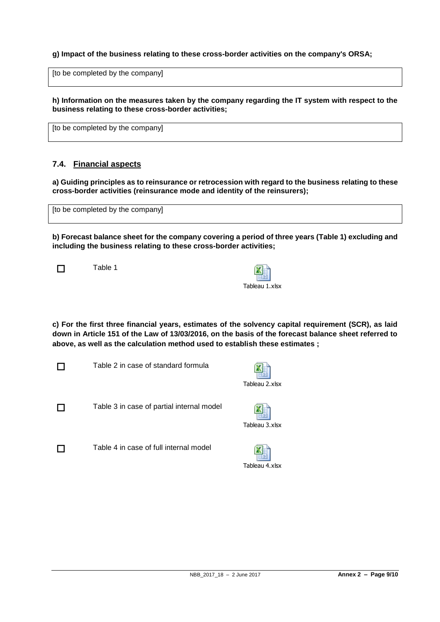## **g) Impact of the business relating to these cross-border activities on the company's ORSA;**

[to be completed by the company]

**h) Information on the measures taken by the company regarding the IT system with respect to the business relating to these cross-border activities;**

[to be completed by the company]

## **7.4. Financial aspects**

**a) Guiding principles as to reinsurance or retrocession with regard to the business relating to these cross-border activities (reinsurance mode and identity of the reinsurers);**

| [to be completed by the company] |  |
|----------------------------------|--|
|----------------------------------|--|

**b) Forecast balance sheet for the company covering a period of three years (Table 1) excluding and including the business relating to these cross-border activities;**

1 Table 1

| Tableau 1.xlsx |  |  |  |  |  |
|----------------|--|--|--|--|--|

**c) For the first three financial years, estimates of the solvency capital requirement (SCR), as laid down in Article 151 of the Law of 13/03/2016, on the basis of the forecast balance sheet referred to above, as well as the calculation method used to establish these estimates ;**



 $\Box$  Table 2 in case of standard formula



 $\Box$  Table 3 in case of partial internal model



 $\Box$  Table 4 in case of full internal model